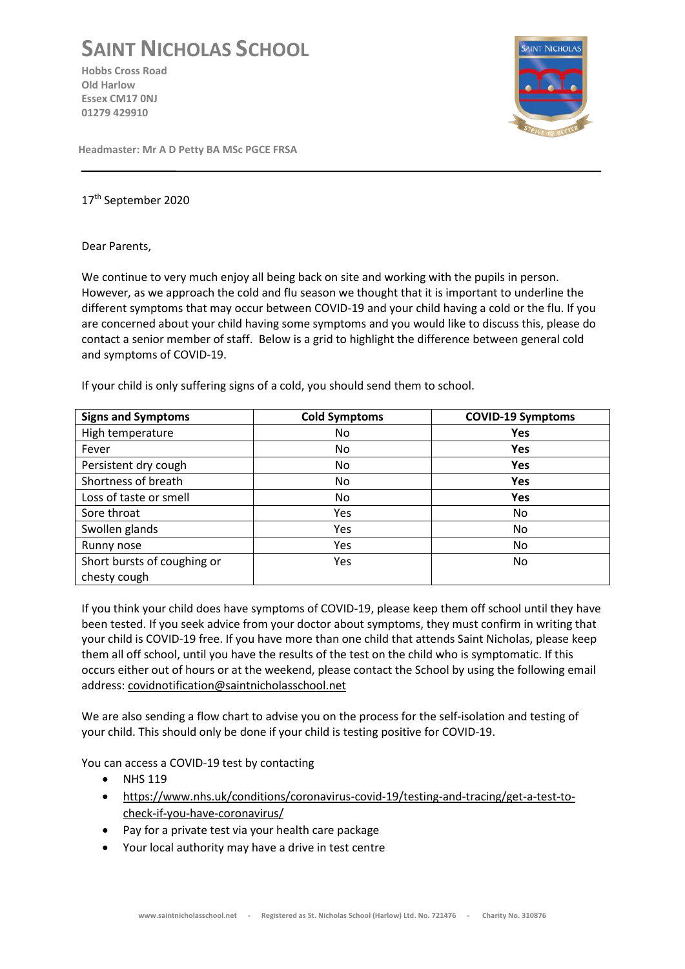## **SAINT NICHOLAS SCHOOL**

**Hobbs Cross Road Old Harlow Essex CM17 0NJ 01279 429910**



**Headmaster: Mr A D Petty BA MSc PGCE FRSA**

## 17th September 2020

## Dear Parents,

We continue to very much enjoy all being back on site and working with the pupils in person. However, as we approach the cold and flu season we thought that it is important to underline the different symptoms that may occur between COVID-19 and your child having a cold or the flu. If you are concerned about your child having some symptoms and you would like to discuss this, please do contact a senior member of staff. Below is a grid to highlight the difference between general cold and symptoms of COVID-19.

If your child is only suffering signs of a cold, you should send them to school.

| <b>Signs and Symptoms</b>   | <b>Cold Symptoms</b> | <b>COVID-19 Symptoms</b> |
|-----------------------------|----------------------|--------------------------|
| High temperature            | No                   | Yes                      |
| Fever                       | No                   | Yes                      |
| Persistent dry cough        | No                   | Yes                      |
| Shortness of breath         | No                   | Yes                      |
| Loss of taste or smell      | No                   | Yes                      |
| Sore throat                 | <b>Yes</b>           | No                       |
| Swollen glands              | Yes                  | No.                      |
| Runny nose                  | Yes                  | No.                      |
| Short bursts of coughing or | <b>Yes</b>           | No.                      |
| chesty cough                |                      |                          |

If you think your child does have symptoms of COVID-19, please keep them off school until they have been tested. If you seek advice from your doctor about symptoms, they must confirm in writing that your child is COVID-19 free. If you have more than one child that attends Saint Nicholas, please keep them all off school, until you have the results of the test on the child who is symptomatic. If this occurs either out of hours or at the weekend, please contact the School by using the following email address: [covidnotification@saintnicholasschool.net](mailto:covidnotification@saintnicholasschool.net)

We are also sending a flow chart to advise you on the process for the self-isolation and testing of your child. This should only be done if your child is testing positive for COVID-19.

You can access a COVID-19 test by contacting

- NHS 119
- [https://www.nhs.uk/conditions/coronavirus-covid-19/testing-and-tracing/get-a-test-to](https://www.nhs.uk/conditions/coronavirus-covid-19/testing-and-tracing/get-a-test-to-check-if-you-have-coronavirus/)[check-if-you-have-coronavirus/](https://www.nhs.uk/conditions/coronavirus-covid-19/testing-and-tracing/get-a-test-to-check-if-you-have-coronavirus/)
- Pay for a private test via your health care package
- Your local authority may have a drive in test centre